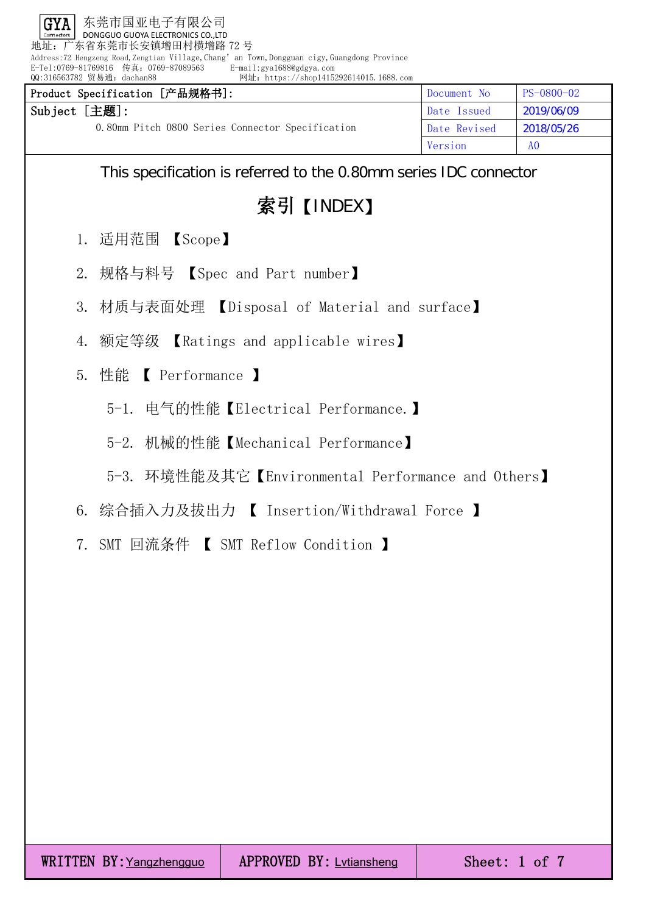地址:广东省东莞市长安镇增田村横增路 72 号

Address:72 Hengzeng Road,Zengtian Village,Chang' an Town,Dongguan cigy,Guangdong Province<br>E-Tel:0769-81769816 传真: 0769-87089563 E-mail:gya1688@gdgya.com E-Tel:0769-81769816 传真: 0769-87089563<br>QQ:316563782 贸易通: dachan88

网址: https://shop1415292614015.1688.com

| Product Specification [产品规格书]:                   | Document No  | PS-0800-02     |
|--------------------------------------------------|--------------|----------------|
| Subject [主题]:                                    | Date Issued  | 2019/06/09     |
| 0.80mm Pitch 0800 Series Connector Specification | Date Revised | 2018/05/26     |
|                                                  | Version      | A <sub>0</sub> |

This specification is referred to the 0.80mm series IDC connector

索引【INDEX】

- 1. 适用范围 【Scope】
- 2. 规格与料号 【Spec and Part number】
- 3. 材质与表面处理 【Disposal of Material and surface】
- 4. 额定等级 【Ratings and applicable wires】
- 5. 性能 【 Performance 】
	- 5-1. 电气的性能【Electrical Performance.】
	- 5-2. 机械的性能【Mechanical Performance】
	- 5-3. 环境性能及其它【Environmental Performance and Others】
- 6. 综合插入力及拔出力 【 Insertion/Withdrawal Force 】
- 7. SMT 回流条件 【 SMT Reflow Condition 】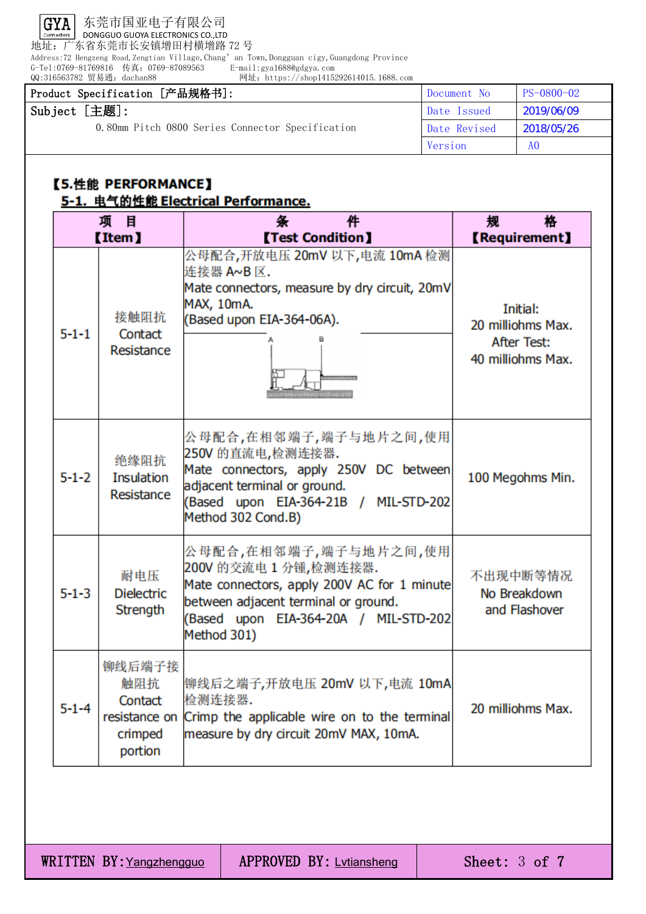

地址:广东省东莞市长安镇增田村横增路 72 号

Address:72 Hengzeng Road,Zengtian Village,Chang'an Town,Dongguan cigy,Guangdong Province

G-Tel:0769-81769816 传真:0769-87089563 E-mail:gya1688@gdgya.com QQ:316563782 贸易通:dachan88 网址:https://shop1415292614015.1688.com

| Product Specification [产品规格书]:                   | Document No  | PS-0800-02     |
|--------------------------------------------------|--------------|----------------|
| Subject [主题]:                                    | Date Issued  | 2019/06/09     |
| 0.80mm Pitch 0800 Series Connector Specification | Date Revised | 2018/05/26     |
|                                                  | Version      | A <sub>0</sub> |

## 【5.性能 PERFORMANCE】 5-1. 电气的性能 Electrical Performance.

| 项目<br><b>Item</b> |                                                                 | 条<br>件<br><b>[Test Condition]</b>                                                                                                                                                             | 格<br>规<br><b>【Requirement】</b>                                    |
|-------------------|-----------------------------------------------------------------|-----------------------------------------------------------------------------------------------------------------------------------------------------------------------------------------------|-------------------------------------------------------------------|
| $5 - 1 - 1$       | 接触阻抗<br>Contact<br>Resistance                                   | 公母配合,开放电压 20mV 以下,电流 10mA 检测<br>连接器 A~B 区.<br>Mate connectors, measure by dry circuit, 20mV<br>MAX, 10mA.<br>(Based upon EIA-364-06A).                                                        | Initial:<br>20 milliohms Max.<br>After Test:<br>40 milliohms Max. |
| $5 - 1 - 2$       | 绝缘阻抗<br><b>Insulation</b><br>Resistance                         | 公母配合,在相邻端子,端子与地片之间,使用<br>250V 的直流电,检测连接器.<br>Mate connectors, apply 250V DC between<br>adjacent terminal or ground.<br>(Based upon EIA-364-21B / MIL-STD-202<br>Method 302 Cond.B)            | 100 Megohms Min.                                                  |
| $5 - 1 - 3$       | 耐电压<br><b>Dielectric</b><br>Strength                            | 公母配合,在相邻端子,端子与地片之间,使用<br>200V 的交流电 1 分锺,检测连接器.<br>Mate connectors, apply 200V AC for 1 minute<br>between adjacent terminal or ground.<br>(Based upon EIA-364-20A / MIL-STD-202<br>Method 301) | 不出现中断等情况<br>No Breakdown<br>and Flashover                         |
| $5 - 1 - 4$       | 铆线后端子接<br>触阻抗<br>Contact<br>resistance on<br>crimped<br>portion | 铆线后之端子,开放电压 20mV 以下,电流 10mA<br>检测连接器.<br>Crimp the applicable wire on to the terminal<br>measure by dry circuit 20mV MAX, 10mA.                                                               | 20 milliohms Max.                                                 |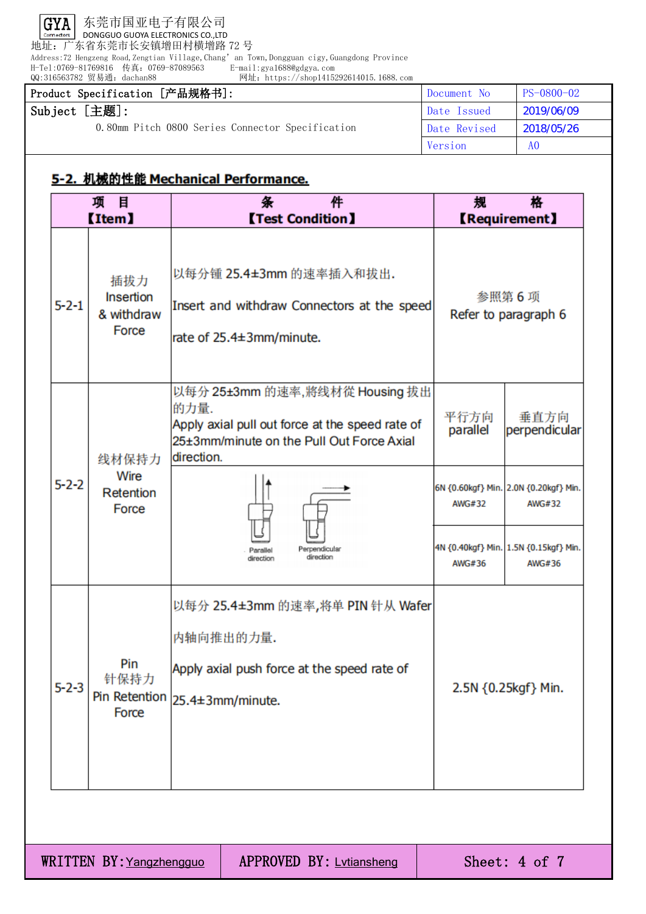

地址:广东省东莞市长安镇增田村横增路 72 号

Address:72 Hengzeng Road,Zengtian Village,Chang'an Town,Dongguan cigy,Guangdong Province

H-Tel:0769-81769816 传真:0769-87089563 E-mail:gya1688@gdgya.com

|                                                                                              |             | QQ:316563782 贸易通: dachan88                     | 网址: https://shop1415292614015.1688.com                                                                                                                                                                      |                                      |                                                                                                                             |
|----------------------------------------------------------------------------------------------|-------------|------------------------------------------------|-------------------------------------------------------------------------------------------------------------------------------------------------------------------------------------------------------------|--------------------------------------|-----------------------------------------------------------------------------------------------------------------------------|
|                                                                                              |             | Product Specification [产品规格书]:                 |                                                                                                                                                                                                             | Document No                          | PS-0800-02                                                                                                                  |
| Subject [主题]:<br>0.80mm Pitch 0800 Series Connector Specification                            |             | Date Issued                                    | 2019/06/09                                                                                                                                                                                                  |                                      |                                                                                                                             |
|                                                                                              |             |                                                | Date Revised                                                                                                                                                                                                | 2018/05/26                           |                                                                                                                             |
|                                                                                              |             |                                                |                                                                                                                                                                                                             | Version                              | A <sub>0</sub>                                                                                                              |
|                                                                                              |             |                                                | 5-2. 机械的性能 Mechanical Performance.                                                                                                                                                                          |                                      |                                                                                                                             |
| 目<br>条<br>件<br>格<br>项<br>规<br><b>Item</b><br><b>Test Condition I</b><br><b>【Requirement】</b> |             |                                                |                                                                                                                                                                                                             |                                      |                                                                                                                             |
|                                                                                              | $5 - 2 - 1$ | 插拔力<br><b>Insertion</b><br>& withdraw<br>Force | 以每分锺 25.4±3mm 的速率插入和拔出.<br>Insert and withdraw Connectors at the speed<br>rate of 25.4±3mm/minute.                                                                                                          |                                      | 参照第6项<br>Refer to paragraph 6                                                                                               |
|                                                                                              | $5 - 2 - 2$ | 线材保持力<br>Wire<br>Retention<br>Force            | 以每分 25±3mm 的速率,將线材從 Housing 拔出<br>的力量.<br>Apply axial pull out force at the speed rate of<br>25±3mm/minute on the Pull Out Force Axial<br>direction.<br>Perpendicular<br>Parallel<br>direction<br>direction | 平行方向<br>parallel<br>AWG#32<br>AWG#36 | 垂直方向<br>perpendicular<br>6N {0.60kgf} Min. 2.0N {0.20kgf} Min.<br>AWG#32<br>4N {0.40kgf} Min. 1.5N {0.15kgf} Min.<br>AWG#36 |
|                                                                                              | $5 - 2 - 3$ | Pin<br>针保持力<br>Force                           | 以每分 25.4±3mm 的速率,将单 PIN 针从 Wafer<br>内轴向推出的力量.<br>Apply axial push force at the speed rate of<br>Pin Retention 25.4±3mm/minute.                                                                              |                                      | 2.5N {0.25kgf} Min.                                                                                                         |

WRITTEN BY: Yangzhengguo | APPROVED BY: Lytiansheng | Sheet: 4 of 7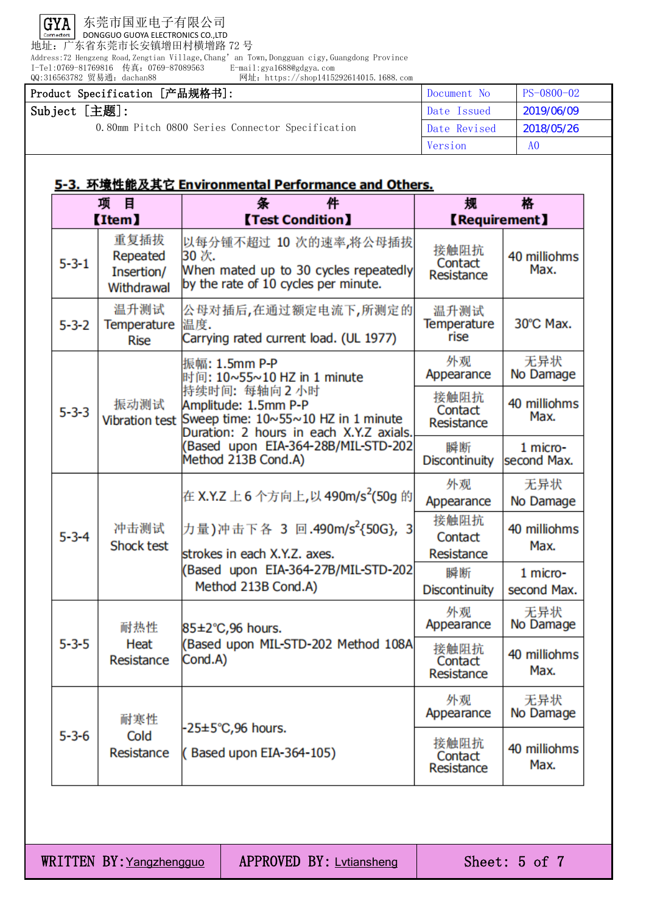

地址:广东省东莞市长安镇增田村横增路 72 号

Address:72 Hengzeng Road,Zengtian Village,Chang'an Town,Dongguan cigy,Guangdong Province

I-Tel:0769-81769816 传真:0769-87089563 E-mail:gya1688@gdgya.com QQ:316563782 贸易通:dachan88 网址:https://shop1415292614015.1688.com

| Product Specification [产品规格书]:                   | Document No  | $PS-0800-02$   |
|--------------------------------------------------|--------------|----------------|
| Subject [主题]:                                    | Date Issued  | 2019/06/09     |
| 0.80mm Pitch 0800 Series Connector Specification | Date Revised | 2018/05/26     |
|                                                  | Version      | A <sub>0</sub> |

## 5-3. 环境性能及其它 Environmental Performance and Others.

| 项<br>目<br><b>Item</b> |                                              | 件<br>条<br><b>[Test Condition]</b>                                                                                                                                                                                                                   | 格<br>规<br><b>【Requirement】</b>     |                         |
|-----------------------|----------------------------------------------|-----------------------------------------------------------------------------------------------------------------------------------------------------------------------------------------------------------------------------------------------------|------------------------------------|-------------------------|
| $5 - 3 - 1$           | 重复插拔<br>Repeated<br>Insertion/<br>Withdrawal | 以每分锺不超过 10 次的速率,将公母插拔<br>30 次.<br>When mated up to 30 cycles repeatedly<br>by the rate of 10 cycles per minute.                                                                                                                                     | 接触阻抗<br>Contact<br>Resistance      | 40 milliohms<br>Max.    |
| $5 - 3 - 2$           | 温升测试<br><b>Temperature</b><br><b>Rise</b>    | 公母对插后,在通过额定电流下,所测定的 <br>温度.<br>Carrying rated current load. (UL 1977)                                                                                                                                                                               | 温升测试<br><b>Temperature</b><br>rise | 30°C Max.               |
|                       |                                              | 振幅: 1.5mm P-P<br>时间: 10~55~10 HZ in 1 minute<br>持续时间: 每轴向2小时<br>Amplitude: 1.5mm P-P<br>Sweep time: $10 \times 55 \times 10$ HZ in 1 minute<br>Duration: 2 hours in each X.Y.Z axials.<br>Based upon EIA-364-28B/MIL-STD-202<br>Method 213B Cond.A) | 外观<br>Appearance                   | 无异状<br>No Damage        |
| $5 - 3 - 3$           | 振动测试<br><b>Vibration test</b>                |                                                                                                                                                                                                                                                     | 接触阻抗<br>Contact<br>Resistance      | 40 milliohms<br>Max.    |
|                       |                                              |                                                                                                                                                                                                                                                     | 瞬断<br><b>Discontinuity</b>         | 1 micro-<br>second Max. |
| $5 - 3 - 4$           | 冲击测试<br>Shock test                           | 在 X.Y.Z 上 6 个方向上,以 490m/s <sup>2</sup> (50g 的<br>力量)冲击下各 3 回.490m/s <sup>2</sup> {50G}, 3<br>strokes in each X.Y.Z. axes.<br>Based upon EIA-364-27B/MIL-STD-202<br>Method 213B Cond.A)                                                              | 外观<br>Appearance                   | 无异状<br>No Damage        |
|                       |                                              |                                                                                                                                                                                                                                                     | 接触阻抗<br>Contact<br>Resistance      | 40 milliohms<br>Max.    |
|                       |                                              |                                                                                                                                                                                                                                                     | 瞬断<br><b>Discontinuity</b>         | 1 micro-<br>second Max. |
| $5 - 3 - 5$           | 耐热性<br>Heat<br>Resistance                    | 85±2°C,96 hours.<br>(Based upon MIL-STD-202 Method 108A<br>Cond.A)                                                                                                                                                                                  | 外观<br>Appearance                   | 无异状<br>No Damage        |
|                       |                                              |                                                                                                                                                                                                                                                     | 接触阻抗<br>Contact<br>Resistance      | 40 milliohms<br>Max.    |
| $5 - 3 - 6$           | 耐寒性<br>Cold<br>Resistance                    |                                                                                                                                                                                                                                                     | 外观<br>Appearance                   | 无异状<br>No Damage        |
|                       |                                              | $-25 \pm 5^{\circ}$ C,96 hours.<br>(Based upon EIA-364-105)                                                                                                                                                                                         | 接触阻抗<br>Contact<br>Resistance      | 40 milliohms<br>Max.    |

WRITTEN BY: Yangzhengguo | APPROVED BY: Lytiansheng | Sheet: 5 of 7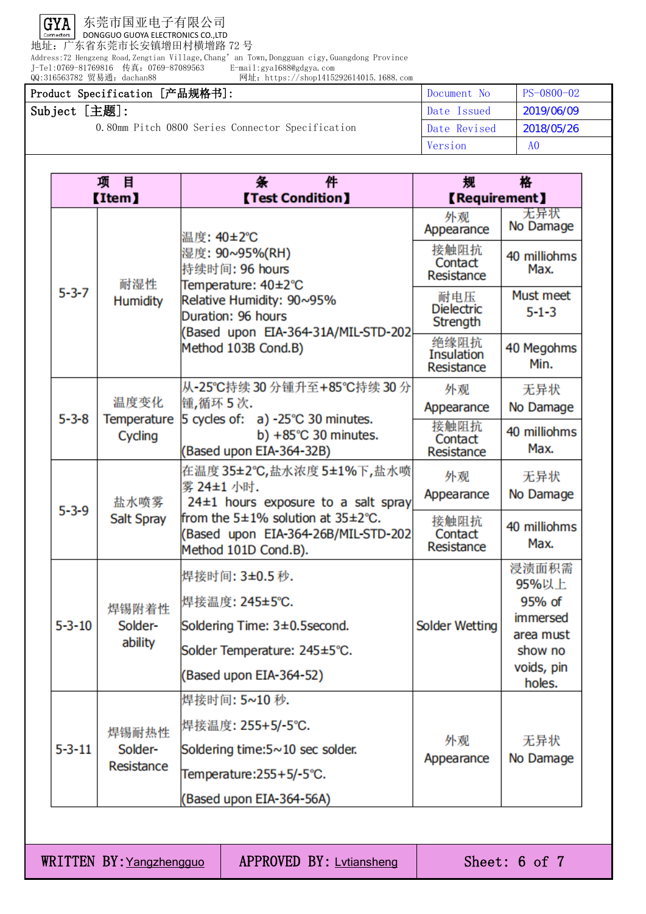

地址:广东省东莞市长安镇增田村横增路 72 号

Address:72 Hengzeng Road,Zengtian Village,Chang' an Town,Dongguan cigy,Guangdong Province<br>J-Tel:0769-81769816 传真: 0769-87089563 E-mail:gya1688@gdgya.com

J-Tel:0769-81769816 传真:0769-87089563 E-mail:gya1688@gdgya.com QQ:316563782 贸易通:dachan88 网址:https://shop1415292614015.1688.com

#### Product Specification [产品规格书]: <br>
Document No PS-0800-02 Subject [主题]: 0.80mm Pitch 0800 Series Connector Specification Date Issued 2019/06/09 Date Revised 2018/05/26 Version A0

| 项<br>目       |                                | 件<br>条                                                                                                                                                                  | 规<br>格                               |                          |
|--------------|--------------------------------|-------------------------------------------------------------------------------------------------------------------------------------------------------------------------|--------------------------------------|--------------------------|
| (Item)       |                                | <b>[Test Condition]</b>                                                                                                                                                 | <b>【Requirement】</b>                 |                          |
| $5 - 3 - 7$  | 耐湿性<br><b>Humidity</b>         | 温度: 40±2℃<br>湿度: 90~95%(RH)<br>持续时间: 96 hours<br>Temperature: 40±2°C<br>Relative Humidity: 90~95%<br>Duration: 96 hours<br>(Based upon EIA-364-31A/MIL-STD-202          | 外观<br>Appearance                     | 无异状<br>No Damage         |
|              |                                |                                                                                                                                                                         | 接触阻抗<br>Contact<br>Resistance        | 40 milliohms<br>Max.     |
|              |                                |                                                                                                                                                                         | 耐电压<br><b>Dielectric</b><br>Strength | Must meet<br>$5 - 1 - 3$ |
|              |                                | Method 103B Cond.B)                                                                                                                                                     | 绝缘阻抗<br>Insulation<br>Resistance     | 40 Megohms<br>Min.       |
|              |                                | 从-25℃持续 30 分锺升至+85℃持续 30 分                                                                                                                                              | 外观                                   | 无异状                      |
| $5 - 3 - 8$  | 温度变化<br>Temperature            | 锺,循环5次.<br>5 cycles of: $a) -25^{\circ}C$ 30 minutes.                                                                                                                   | Appearance                           | No Damage                |
|              | Cycling                        | b) $+85^{\circ}$ C 30 minutes.<br>(Based upon EIA-364-32B)                                                                                                              | 接触阻抗<br>Contact<br>Resistance        | 40 milliohms<br>Max.     |
|              | 盐水喷雾<br><b>Salt Spray</b>      | 在温度 35±2℃,盐水浓度 5±1%下,盐水喷                                                                                                                                                | 外观                                   | 无异状                      |
|              |                                | 雾 24±1 小时.<br>$24±1$ hours exposure to a salt spray<br>from the $5\pm1\%$ solution at $35\pm2\degree$ C.<br>(Based upon EIA-364-26B/MIL-STD-202<br>Method 101D Cond.B). | Appearance                           | No Damage                |
| $5 - 3 - 9$  |                                |                                                                                                                                                                         | 接触阻抗<br>Contact<br>Resistance        | 40 milliohms<br>Max.     |
|              | 焊锡附着性<br>Solder-<br>ability    | 焊接时间: 3±0.5 秒.<br>焊接温度: 245±5°C.                                                                                                                                        |                                      | 浸渍面积需<br>95%以上<br>95% of |
| $5 - 3 - 10$ |                                | Soldering Time: 3±0.5second.                                                                                                                                            | <b>Solder Wetting</b>                | immersed                 |
|              |                                | Solder Temperature: 245±5°C.                                                                                                                                            |                                      | area must<br>show no     |
|              |                                | (Based upon EIA-364-52)                                                                                                                                                 |                                      | voids, pin<br>holes.     |
| $5 - 3 - 11$ | 焊锡耐热性<br>Solder-<br>Resistance | 焊接时间: 5~10 秒.                                                                                                                                                           |                                      |                          |
|              |                                | 焊接温度: 255+5/-5℃.                                                                                                                                                        |                                      |                          |
|              |                                | Soldering time:5~10 sec solder.                                                                                                                                         | 外观<br>Appearance                     | 无异状<br>No Damage         |
|              |                                | Temperature:255+5/-5°C.                                                                                                                                                 |                                      |                          |
|              |                                | (Based upon EIA-364-56A)                                                                                                                                                |                                      |                          |